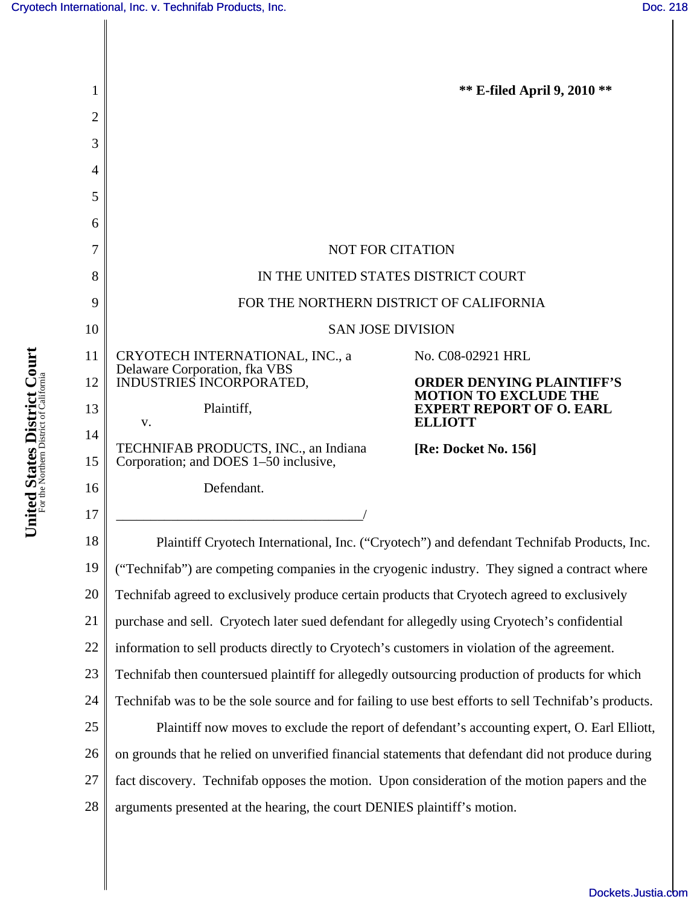∥

| 1  |                                                                                                       | <b>** E-filed April 9, 2010 **</b>                               |
|----|-------------------------------------------------------------------------------------------------------|------------------------------------------------------------------|
| 2  |                                                                                                       |                                                                  |
| 3  |                                                                                                       |                                                                  |
| 4  |                                                                                                       |                                                                  |
| 5  |                                                                                                       |                                                                  |
| 6  |                                                                                                       |                                                                  |
| 7  | <b>NOT FOR CITATION</b>                                                                               |                                                                  |
| 8  | IN THE UNITED STATES DISTRICT COURT                                                                   |                                                                  |
| 9  | FOR THE NORTHERN DISTRICT OF CALIFORNIA                                                               |                                                                  |
| 10 | <b>SAN JOSE DIVISION</b>                                                                              |                                                                  |
| 11 | CRYOTECH INTERNATIONAL, INC., a<br>Delaware Corporation, fka VBS                                      | No. C08-02921 HRL                                                |
| 12 | INDUSTRIES INCORPORATED,                                                                              | <b>ORDER DENYING PLAINTIFF'S</b><br><b>MOTION TO EXCLUDE THE</b> |
| 13 | Plaintiff,<br>V.                                                                                      | <b>EXPERT REPORT OF O. EARL</b><br><b>ELLIOTT</b>                |
| 14 |                                                                                                       |                                                                  |
| 15 | TECHNIFAB PRODUCTS, INC., an Indiana<br>[Re: Docket No. 156]<br>Corporation; and DOES 1-50 inclusive, |                                                                  |
| 16 | Defendant.                                                                                            |                                                                  |
| 17 |                                                                                                       |                                                                  |
| 18 | Plaintiff Cryotech International, Inc. ("Cryotech") and defendant Technifab Products, Inc.            |                                                                  |
| 19 | ("Technifab") are competing companies in the cryogenic industry. They signed a contract where         |                                                                  |
| 20 | Technifab agreed to exclusively produce certain products that Cryotech agreed to exclusively          |                                                                  |
| 21 | purchase and sell. Cryotech later sued defendant for allegedly using Cryotech's confidential          |                                                                  |
| 22 | information to sell products directly to Cryotech's customers in violation of the agreement.          |                                                                  |
| 23 | Technifab then countersued plaintiff for allegedly outsourcing production of products for which       |                                                                  |
| 24 | Technifab was to be the sole source and for failing to use best efforts to sell Technifab's products. |                                                                  |
| 25 | Plaintiff now moves to exclude the report of defendant's accounting expert, O. Earl Elliott,          |                                                                  |
| 26 | on grounds that he relied on unverified financial statements that defendant did not produce during    |                                                                  |
| 27 | fact discovery. Technifab opposes the motion. Upon consideration of the motion papers and the         |                                                                  |
| 28 | arguments presented at the hearing, the court DENIES plaintiff's motion.                              |                                                                  |

[Dockets.Justia.com](http://dockets.justia.com/)

United States District Court **United States District Court** For the Northern District of California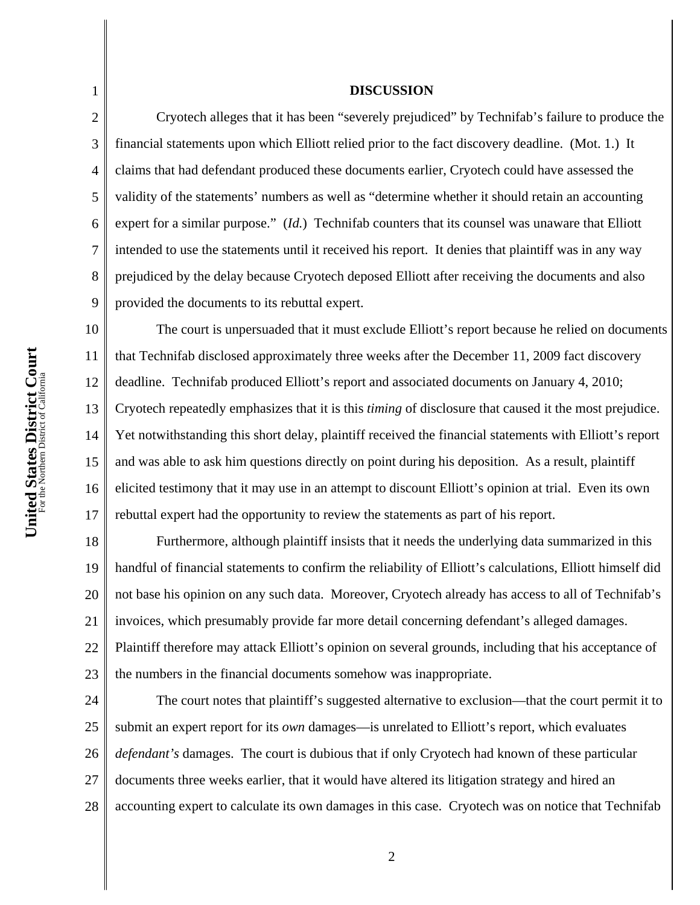United States District Court **United States District Court** For the Northern District of California

1

2

3

4

5

6

7

8

9

11

15

17

## **DISCUSSION**

Cryotech alleges that it has been "severely prejudiced" by Technifab's failure to produce the financial statements upon which Elliott relied prior to the fact discovery deadline. (Mot. 1.) It claims that had defendant produced these documents earlier, Cryotech could have assessed the validity of the statements' numbers as well as "determine whether it should retain an accounting expert for a similar purpose." (*Id.*) Technifab counters that its counsel was unaware that Elliott intended to use the statements until it received his report. It denies that plaintiff was in any way prejudiced by the delay because Cryotech deposed Elliott after receiving the documents and also provided the documents to its rebuttal expert.

10 12 13 14 16 The court is unpersuaded that it must exclude Elliott's report because he relied on documents that Technifab disclosed approximately three weeks after the December 11, 2009 fact discovery deadline. Technifab produced Elliott's report and associated documents on January 4, 2010; Cryotech repeatedly emphasizes that it is this *timing* of disclosure that caused it the most prejudice. Yet notwithstanding this short delay, plaintiff received the financial statements with Elliott's report and was able to ask him questions directly on point during his deposition. As a result, plaintiff elicited testimony that it may use in an attempt to discount Elliott's opinion at trial. Even its own rebuttal expert had the opportunity to review the statements as part of his report.

18 19 20 21 22 23 Furthermore, although plaintiff insists that it needs the underlying data summarized in this handful of financial statements to confirm the reliability of Elliott's calculations, Elliott himself did not base his opinion on any such data. Moreover, Cryotech already has access to all of Technifab's invoices, which presumably provide far more detail concerning defendant's alleged damages. Plaintiff therefore may attack Elliott's opinion on several grounds, including that his acceptance of the numbers in the financial documents somehow was inappropriate.

24 25 26 27 28 The court notes that plaintiff's suggested alternative to exclusion—that the court permit it to submit an expert report for its *own* damages—is unrelated to Elliott's report, which evaluates *defendant's* damages. The court is dubious that if only Cryotech had known of these particular documents three weeks earlier, that it would have altered its litigation strategy and hired an accounting expert to calculate its own damages in this case. Cryotech was on notice that Technifab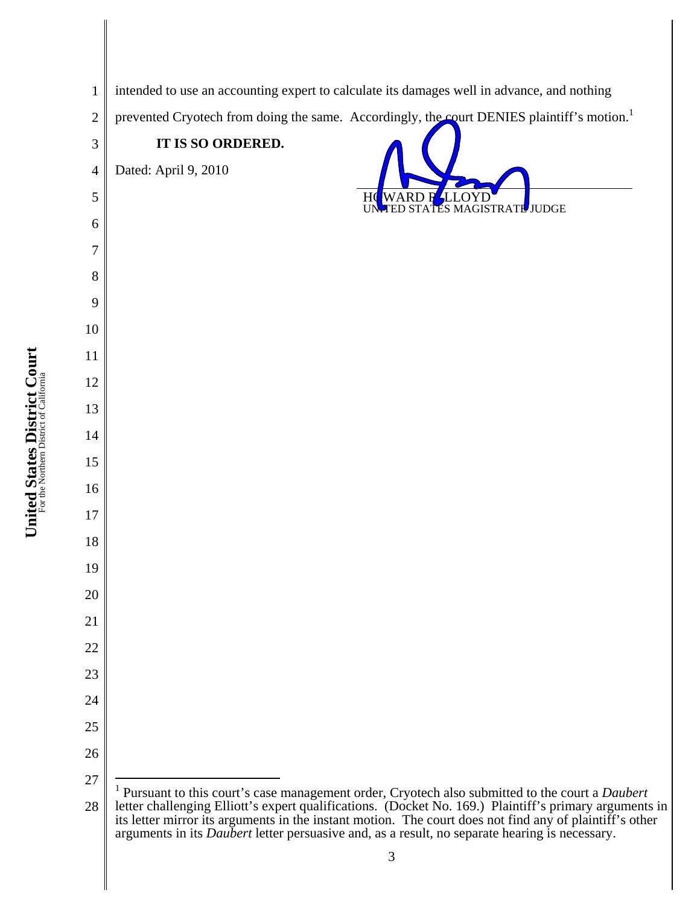intended to use an accounting expert to calculate its damages well in advance, and nothing prevented Cryotech from doing the same. Accordingly, the court DENIES plaintiff's motion.<sup>1</sup> **IT IS SO ORDERED.**  Dated: April 9, 2010 HOWARD R<u>S</u>LLOYD<br>UN TED STATES MAGIS TED STATES MAGISTRATE JUDGE  $\overline{a}$  Pursuant to this court's case management order, Cryotech also submitted to the court a *Daubert*  letter challenging Elliott's expert qualifications. (Docket No. 169.) Plaintiff's primary arguments in its letter mirror its arguments in the instant motion. The court does not find any of plaintiff's other arguments in its *Daubert* letter persuasive and, as a result, no separate hearing is necessary.